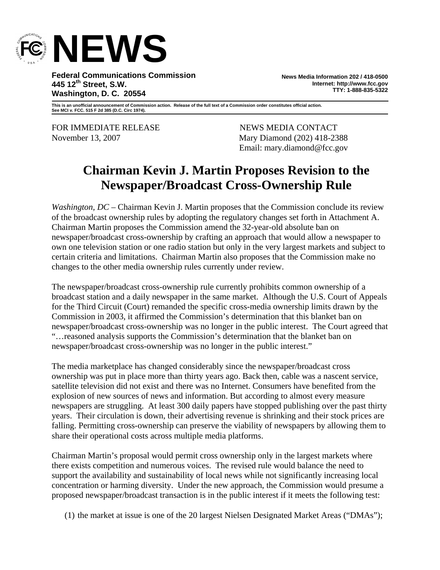

**Federal Communications Commission 445 12th Street, S.W. Washington, D. C. 20554** 

**News Media Information 202 / 418-0500 Internet: http://www.fcc.gov TTY: 1-888-835-5322**

**This is an unofficial announcement of Commission action. Release of the full text of a Commission order constitutes official action. See MCI v. FCC. 515 F 2d 385 (D.C. Circ 1974).** 

FOR IMMEDIATE RELEASE NEWS MEDIA CONTACT

November 13, 2007 Mary Diamond (202) 418-2388 Email: mary.diamond@fcc.gov

# **Chairman Kevin J. Martin Proposes Revision to the Newspaper/Broadcast Cross-Ownership Rule**

*Washington, DC* – Chairman Kevin J. Martin proposes that the Commission conclude its review of the broadcast ownership rules by adopting the regulatory changes set forth in Attachment A. Chairman Martin proposes the Commission amend the 32-year-old absolute ban on newspaper/broadcast cross-ownership by crafting an approach that would allow a newspaper to own one television station or one radio station but only in the very largest markets and subject to certain criteria and limitations. Chairman Martin also proposes that the Commission make no changes to the other media ownership rules currently under review.

The newspaper/broadcast cross-ownership rule currently prohibits common ownership of a broadcast station and a daily newspaper in the same market. Although the U.S. Court of Appeals for the Third Circuit (Court) remanded the specific cross-media ownership limits drawn by the Commission in 2003, it affirmed the Commission's determination that this blanket ban on newspaper/broadcast cross-ownership was no longer in the public interest. The Court agreed that "…reasoned analysis supports the Commission's determination that the blanket ban on newspaper/broadcast cross-ownership was no longer in the public interest."

The media marketplace has changed considerably since the newspaper/broadcast cross ownership was put in place more than thirty years ago. Back then, cable was a nascent service, satellite television did not exist and there was no Internet. Consumers have benefited from the explosion of new sources of news and information. But according to almost every measure newspapers are struggling. At least 300 daily papers have stopped publishing over the past thirty years. Their circulation is down, their advertising revenue is shrinking and their stock prices are falling. Permitting cross-ownership can preserve the viability of newspapers by allowing them to share their operational costs across multiple media platforms.

Chairman Martin's proposal would permit cross ownership only in the largest markets where there exists competition and numerous voices. The revised rule would balance the need to support the availability and sustainability of local news while not significantly increasing local concentration or harming diversity. Under the new approach, the Commission would presume a proposed newspaper/broadcast transaction is in the public interest if it meets the following test:

(1) the market at issue is one of the 20 largest Nielsen Designated Market Areas ("DMAs");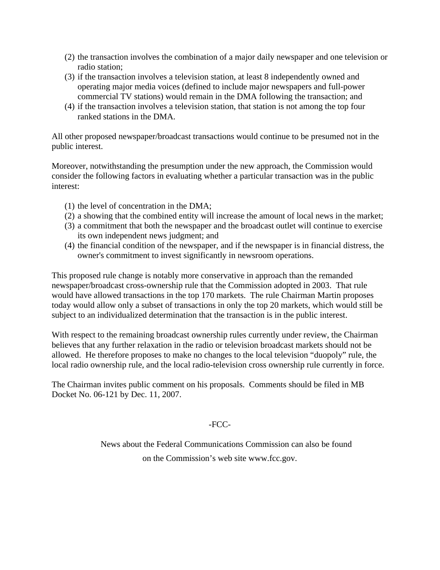- (2) the transaction involves the combination of a major daily newspaper and one television or radio station;
- (3) if the transaction involves a television station, at least 8 independently owned and operating major media voices (defined to include major newspapers and full-power commercial TV stations) would remain in the DMA following the transaction; and
- (4) if the transaction involves a television station, that station is not among the top four ranked stations in the DMA.

All other proposed newspaper/broadcast transactions would continue to be presumed not in the public interest.

Moreover, notwithstanding the presumption under the new approach, the Commission would consider the following factors in evaluating whether a particular transaction was in the public interest:

- (1) the level of concentration in the DMA;
- (2) a showing that the combined entity will increase the amount of local news in the market;
- (3) a commitment that both the newspaper and the broadcast outlet will continue to exercise its own independent news judgment; and
- (4) the financial condition of the newspaper, and if the newspaper is in financial distress, the owner's commitment to invest significantly in newsroom operations.

This proposed rule change is notably more conservative in approach than the remanded newspaper/broadcast cross-ownership rule that the Commission adopted in 2003. That rule would have allowed transactions in the top 170 markets. The rule Chairman Martin proposes today would allow only a subset of transactions in only the top 20 markets, which would still be subject to an individualized determination that the transaction is in the public interest.

With respect to the remaining broadcast ownership rules currently under review, the Chairman believes that any further relaxation in the radio or television broadcast markets should not be allowed. He therefore proposes to make no changes to the local television "duopoly" rule, the local radio ownership rule, and the local radio-television cross ownership rule currently in force.

The Chairman invites public comment on his proposals. Comments should be filed in MB Docket No. 06-121 by Dec. 11, 2007.

## -FCC-

News about the Federal Communications Commission can also be found on the Commission's web site www.fcc.gov.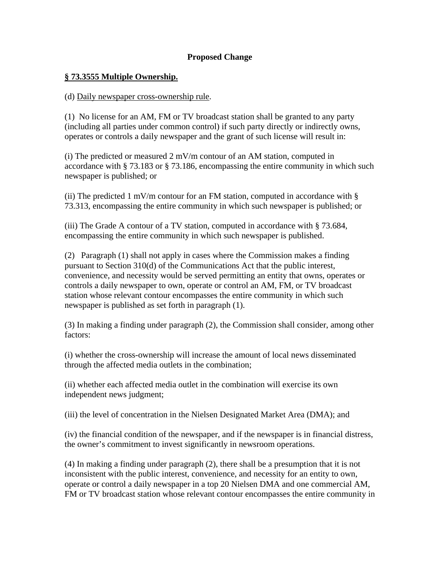## **Proposed Change**

#### **§ 73.3555 Multiple Ownership.**

#### (d) Daily newspaper cross-ownership rule.

(1) No license for an AM, FM or TV broadcast station shall be granted to any party (including all parties under common control) if such party directly or indirectly owns, operates or controls a daily newspaper and the grant of such license will result in:

(i) The predicted or measured 2 mV/m contour of an AM station, computed in accordance with § 73.183 or § 73.186, encompassing the entire community in which such newspaper is published; or

(ii) The predicted 1 mV/m contour for an FM station, computed in accordance with  $\S$ 73.313, encompassing the entire community in which such newspaper is published; or

(iii) The Grade A contour of a TV station, computed in accordance with § 73.684, encompassing the entire community in which such newspaper is published.

(2) Paragraph (1) shall not apply in cases where the Commission makes a finding pursuant to Section 310(d) of the Communications Act that the public interest, convenience, and necessity would be served permitting an entity that owns, operates or controls a daily newspaper to own, operate or control an AM, FM, or TV broadcast station whose relevant contour encompasses the entire community in which such newspaper is published as set forth in paragraph (1).

(3) In making a finding under paragraph (2), the Commission shall consider, among other factors:

(i) whether the cross-ownership will increase the amount of local news disseminated through the affected media outlets in the combination;

(ii) whether each affected media outlet in the combination will exercise its own independent news judgment;

(iii) the level of concentration in the Nielsen Designated Market Area (DMA); and

(iv) the financial condition of the newspaper, and if the newspaper is in financial distress, the owner's commitment to invest significantly in newsroom operations.

(4) In making a finding under paragraph (2), there shall be a presumption that it is not inconsistent with the public interest, convenience, and necessity for an entity to own, operate or control a daily newspaper in a top 20 Nielsen DMA and one commercial AM, FM or TV broadcast station whose relevant contour encompasses the entire community in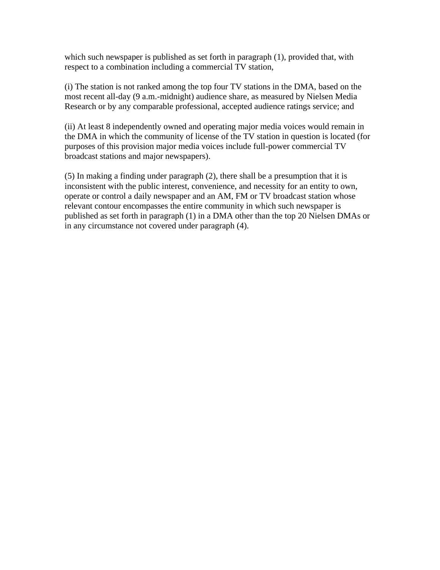which such newspaper is published as set forth in paragraph (1), provided that, with respect to a combination including a commercial TV station,

(i) The station is not ranked among the top four TV stations in the DMA, based on the most recent all-day (9 a.m.-midnight) audience share, as measured by Nielsen Media Research or by any comparable professional, accepted audience ratings service; and

(ii) At least 8 independently owned and operating major media voices would remain in the DMA in which the community of license of the TV station in question is located (for purposes of this provision major media voices include full-power commercial TV broadcast stations and major newspapers).

(5) In making a finding under paragraph (2), there shall be a presumption that it is inconsistent with the public interest, convenience, and necessity for an entity to own, operate or control a daily newspaper and an AM, FM or TV broadcast station whose relevant contour encompasses the entire community in which such newspaper is published as set forth in paragraph (1) in a DMA other than the top 20 Nielsen DMAs or in any circumstance not covered under paragraph (4).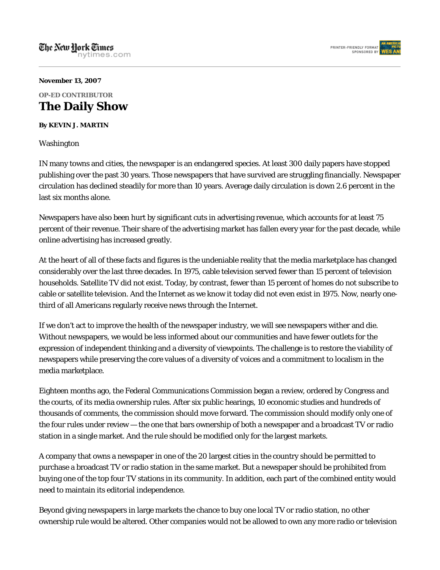

#### **November 13, 2007**

## **OP-ED CONTRIBUTOR The Daily Show**

#### **By KEVIN J. MARTIN**

Washington

IN many towns and cities, the newspaper is an endangered species. At least 300 daily papers have stopped publishing over the past 30 years. Those newspapers that have survived are struggling financially. Newspaper circulation has declined steadily for more than 10 years. Average daily circulation is down 2.6 percent in the last six months alone.

Newspapers have also been hurt by significant cuts in advertising revenue, which accounts for at least 75 percent of their revenue. Their share of the advertising market has fallen every year for the past decade, while online advertising has increased greatly.

At the heart of all of these facts and figures is the undeniable reality that the media marketplace has changed considerably over the last three decades. In 1975, cable television served fewer than 15 percent of television households. Satellite TV did not exist. Today, by contrast, fewer than 15 percent of homes do not subscribe to cable or satellite television. And the Internet as we know it today did not even exist in 1975. Now, nearly onethird of all Americans regularly receive news through the Internet.

If we don't act to improve the health of the newspaper industry, we will see newspapers wither and die. Without newspapers, we would be less informed about our communities and have fewer outlets for the expression of independent thinking and a diversity of viewpoints. The challenge is to restore the viability of newspapers while preserving the core values of a diversity of voices and a commitment to localism in the media marketplace.

Eighteen months ago, the Federal Communications Commission began a review, ordered by Congress and the courts, of its media ownership rules. After six public hearings, 10 economic studies and hundreds of thousands of comments, the commission should move forward. The commission should modify only one of the four rules under review — the one that bars ownership of both a newspaper and a broadcast TV or radio station in a single market. And the rule should be modified only for the largest markets.

A company that owns a newspaper in one of the 20 largest cities in the country should be permitted to purchase a broadcast TV or radio station in the same market. But a newspaper should be prohibited from buying one of the top four TV stations in its community. In addition, each part of the combined entity would need to maintain its editorial independence.

Beyond giving newspapers in large markets the chance to buy one local TV or radio station, no other ownership rule would be altered. Other companies would not be allowed to own any more radio or television